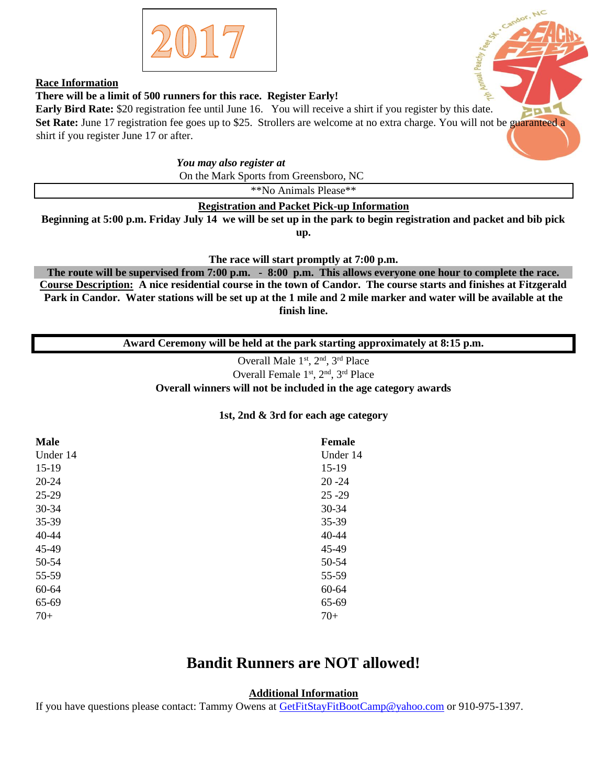

## **Race Information**

### **There will be a limit of 500 runners for this race. Register Early!**

**Early Bird Rate:** \$20 registration fee until June 16. You will receive a shirt if you register by this date. **Set Rate:** June 17 registration fee goes up to \$25. Strollers are welcome at no extra charge. You will not be guaranteed a shirt if you register June 17 or after.

> *You may also register at* On the Mark Sports from Greensboro, NC

\*\*No Animals Please\*\*

**Registration and Packet Pick-up Information**

**Beginning at 5:00 p.m. Friday July 14 we will be set up in the park to begin registration and packet and bib pick up.** 

**The race will start promptly at 7:00 p.m.** 

**The route will be supervised from 7:00 p.m. - 8:00 p.m. This allows everyone one hour to complete the race. Course Description: A nice residential course in the town of Candor. The course starts and finishes at Fitzgerald Park in Candor. Water stations will be set up at the 1 mile and 2 mile marker and water will be available at the finish line.** 

**Award Ceremony will be held at the park starting approximately at 8:15 p.m.** 

Overall Male 1<sup>st</sup>, 2<sup>nd</sup>, 3<sup>rd</sup> Place Overall Female 1<sup>st</sup>, 2<sup>nd</sup>, 3<sup>rd</sup> Place **Overall winners will not be included in the age category awards** 

## **1st, 2nd & 3rd for each age category**

| <b>Male</b> | Female    |
|-------------|-----------|
| Under 14    | Under 14  |
| $15-19$     | $15-19$   |
| $20 - 24$   | $20 - 24$ |
| 25-29       | $25 - 29$ |
| 30-34       | 30-34     |
| 35-39       | 35-39     |
| 40-44       | 40-44     |
| 45-49       | 45-49     |
| 50-54       | 50-54     |
| 55-59       | 55-59     |
| 60-64       | 60-64     |
| 65-69       | 65-69     |
| $70+$       | $70+$     |

# **Bandit Runners are NOT allowed!**

## **Additional Information**

If you have questions please contact: Tammy Owens at GetFitStayFitBootCamp@yahoo.com or 910-975-1397.